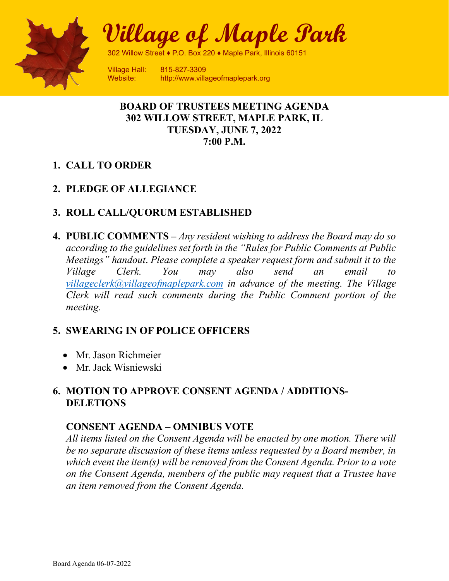

**Village of Maple Park** 

302 Willow Street ♦ P.O. Box 220 ♦ Maple Park, Illinois 60151

Village Hall: 815-827-3309 Website: http://www.villageofmaplepark.org

#### **BOARD OF TRUSTEES MEETING AGENDA 302 WILLOW STREET, MAPLE PARK, IL TUESDAY, JUNE 7, 2022 7:00 P.M.**

## **1. CALL TO ORDER**

## **2. PLEDGE OF ALLEGIANCE**

#### **3. ROLL CALL/QUORUM ESTABLISHED**

**4. PUBLIC COMMENTS –** *Any resident wishing to address the Board may do so according to the guidelines set forth in the "Rules for Public Comments at Public Meetings" handout*. *Please complete a speaker request form and submit it to the Village Clerk. You may also send an email to [villageclerk@villageofmaplepark.com](mailto:villageclerk@villageofmaplepark.com) in advance of the meeting. The Village Clerk will read such comments during the Public Comment portion of the meeting.*

## **5. SWEARING IN OF POLICE OFFICERS**

- Mr. Jason Richmeier
- Mr. Jack Wisniewski

# **6. MOTION TO APPROVE CONSENT AGENDA / ADDITIONS-DELETIONS**

## **CONSENT AGENDA – OMNIBUS VOTE**

*All items listed on the Consent Agenda will be enacted by one motion. There will be no separate discussion of these items unless requested by a Board member, in which event the item(s) will be removed from the Consent Agenda. Prior to a vote on the Consent Agenda, members of the public may request that a Trustee have an item removed from the Consent Agenda.*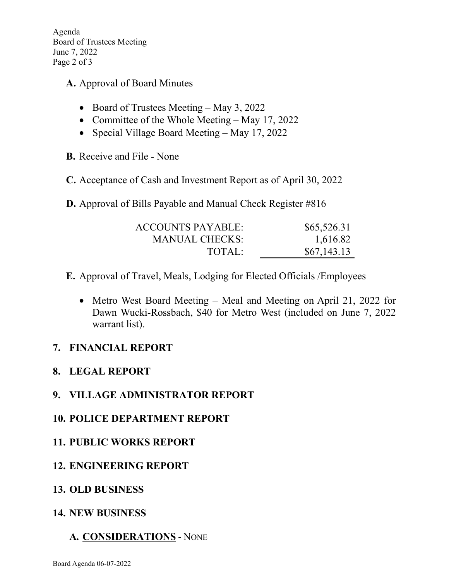Agenda Board of Trustees Meeting June 7, 2022 Page 2 of 3

**A.** Approval of Board Minutes

- Board of Trustees Meeting May 3, 2022
- Committee of the Whole Meeting May 17, 2022
- Special Village Board Meeting May 17, 2022
- **B.** Receive and File None
- **C.** Acceptance of Cash and Investment Report as of April 30, 2022

**D.** Approval of Bills Payable and Manual Check Register #816

| <b>ACCOUNTS PAYABLE:</b> | \$65,526.31 |
|--------------------------|-------------|
| MANUAL CHECKS:           | 1,616.82    |
| TOTAL:                   | \$67,143.13 |

- **E.** Approval of Travel, Meals, Lodging for Elected Officials /Employees
	- Metro West Board Meeting Meal and Meeting on April 21, 2022 for Dawn Wucki-Rossbach, \$40 for Metro West (included on June 7, 2022 warrant list).

## **7. FINANCIAL REPORT**

## **8. LEGAL REPORT**

## **9. VILLAGE ADMINISTRATOR REPORT**

- **10. POLICE DEPARTMENT REPORT**
- **11. PUBLIC WORKS REPORT**
- **12. ENGINEERING REPORT**
- **13. OLD BUSINESS**
- **14. NEW BUSINESS**

## **A. CONSIDERATIONS** - NONE